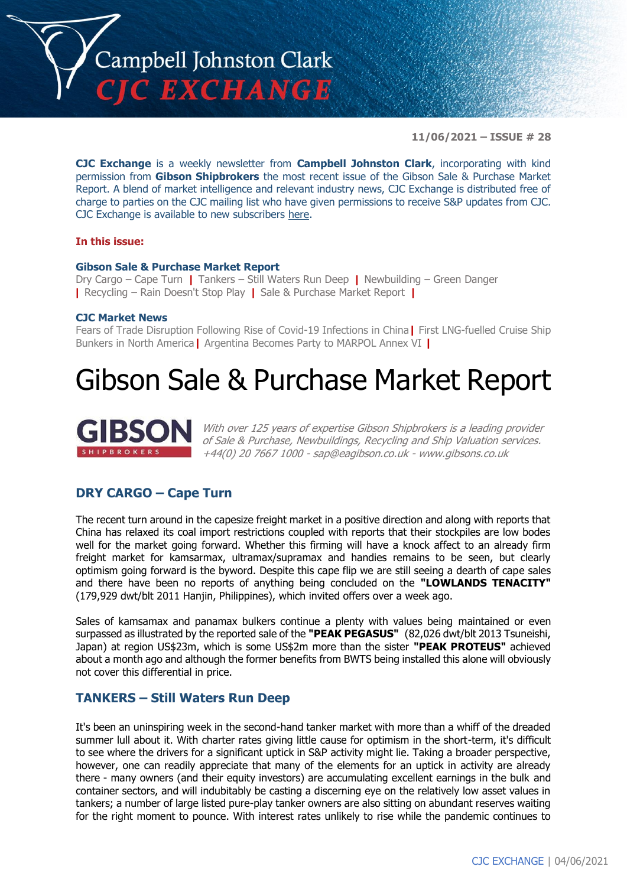

**11/06/2021 – ISSUE # 28**

**CJC Exchange** is a weekly newsletter from **Campbell Johnston Clark**, incorporating with kind permission from **Gibson Shipbrokers** the most recent issue of the Gibson Sale & Purchase Market Report. A blend of market intelligence and relevant industry news, CJC Exchange is distributed free of charge to parties on the CJC mailing list who have given permissions to receive S&P updates from CJC. CJC Exchange is available to new subscribers [here.](mailto:jamesc@cjclaw.com?subject=CJC%20Exchange%20sign-up)

### **In this issue:**

### **Gibson Sale & Purchase Market Report**

Dry Cargo – Cape Turn **|** Tankers – Still Waters Run Deep **|** Newbuilding – Green Danger **|** Recycling – Rain Doesn't Stop Play **|** Sale & Purchase Market Report **|**

### **CJC Market News**

Fears of Trade Disruption Following Rise of Covid-19 Infections in China**|** First LNG-fuelled Cruise Ship Bunkers in North America**|** Argentina Becomes Party to MARPOL Annex VI **|**

# Gibson Sale & Purchase Market Report



With over 125 years of expertise Gibson Shipbrokers is a leading provider of Sale & Purchase, Newbuildings, Recycling and Ship Valuation services. +44(0) 20 7667 1000 - [sap@eagibson.co.uk](mailto:sap@eagibson.co.uk) - [www.gibsons.co.uk](https://protect-eu.mimecast.com/s/VO6nCGZzRS60KqcK1jQh/)

# **DRY CARGO – Cape Turn**

The recent turn around in the capesize freight market in a positive direction and along with reports that China has relaxed its coal import restrictions coupled with reports that their stockpiles are low bodes well for the market going forward. Whether this firming will have a knock affect to an already firm freight market for kamsarmax, ultramax/supramax and handies remains to be seen, but clearly optimism going forward is the byword. Despite this cape flip we are still seeing a dearth of cape sales and there have been no reports of anything being concluded on the **"LOWLANDS TENACITY"** (179,929 dwt/blt 2011 Hanjin, Philippines), which invited offers over a week ago.

Sales of kamsamax and panamax bulkers continue a plenty with values being maintained or even surpassed as illustrated by the reported sale of the **"PEAK PEGASUS"** (82,026 dwt/blt 2013 Tsuneishi, Japan) at region US\$23m, which is some US\$2m more than the sister **"PEAK PROTEUS"** achieved about a month ago and although the former benefits from BWTS being installed this alone will obviously not cover this differential in price.

# **TANKERS – Still Waters Run Deep**

It's been an uninspiring week in the second-hand tanker market with more than a whiff of the dreaded summer lull about it. With charter rates giving little cause for optimism in the short-term, it's difficult to see where the drivers for a significant uptick in S&P activity might lie. Taking a broader perspective, however, one can readily appreciate that many of the elements for an uptick in activity are already there - many owners (and their equity investors) are accumulating excellent earnings in the bulk and container sectors, and will indubitably be casting a discerning eye on the relatively low asset values in tankers; a number of large listed pure-play tanker owners are also sitting on abundant reserves waiting for the right moment to pounce. With interest rates unlikely to rise while the pandemic continues to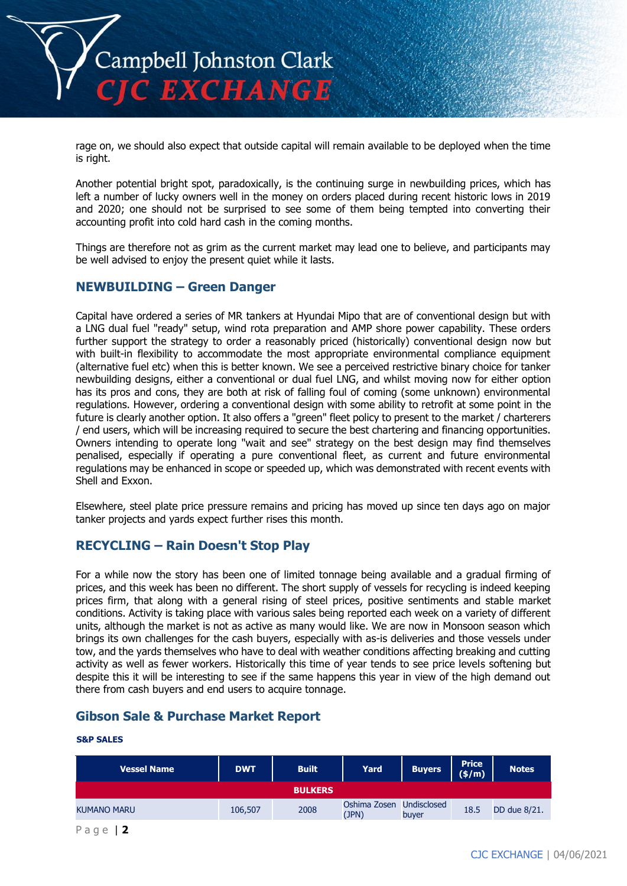

rage on, we should also expect that outside capital will remain available to be deployed when the time is right.

Another potential bright spot, paradoxically, is the continuing surge in newbuilding prices, which has left a number of lucky owners well in the money on orders placed during recent historic lows in 2019 and 2020; one should not be surprised to see some of them being tempted into converting their accounting profit into cold hard cash in the coming months.

Things are therefore not as grim as the current market may lead one to believe, and participants may be well advised to enjoy the present quiet while it lasts.

# **NEWBUILDING – Green Danger**

Capital have ordered a series of MR tankers at Hyundai Mipo that are of conventional design but with a LNG dual fuel "ready" setup, wind rota preparation and AMP shore power capability. These orders further support the strategy to order a reasonably priced (historically) conventional design now but with built-in flexibility to accommodate the most appropriate environmental compliance equipment (alternative fuel etc) when this is better known. We see a perceived restrictive binary choice for tanker newbuilding designs, either a conventional or dual fuel LNG, and whilst moving now for either option has its pros and cons, they are both at risk of falling foul of coming (some unknown) environmental regulations. However, ordering a conventional design with some ability to retrofit at some point in the future is clearly another option. It also offers a "green" fleet policy to present to the market / charterers / end users, which will be increasing required to secure the best chartering and financing opportunities. Owners intending to operate long "wait and see" strategy on the best design may find themselves penalised, especially if operating a pure conventional fleet, as current and future environmental regulations may be enhanced in scope or speeded up, which was demonstrated with recent events with Shell and Exxon.

Elsewhere, steel plate price pressure remains and pricing has moved up since ten days ago on major tanker projects and yards expect further rises this month.

# **RECYCLING – Rain Doesn't Stop Play**

For a while now the story has been one of limited tonnage being available and a gradual firming of prices, and this week has been no different. The short supply of vessels for recycling is indeed keeping prices firm, that along with a general rising of steel prices, positive sentiments and stable market conditions. Activity is taking place with various sales being reported each week on a variety of different units, although the market is not as active as many would like. We are now in Monsoon season which brings its own challenges for the cash buyers, especially with as-is deliveries and those vessels under tow, and the yards themselves who have to deal with weather conditions affecting breaking and cutting activity as well as fewer workers. Historically this time of year tends to see price levels softening but despite this it will be interesting to see if the same happens this year in view of the high demand out there from cash buyers and end users to acquire tonnage.

# **Gibson Sale & Purchase Market Report**

#### **S&P SALES**

| <b>Vessel Name</b> | <b>DWT</b> | <b>Built</b>   | Yard                  | <b>Buyers</b>        | <b>Price</b><br>$(\frac{\epsilon}{m})$ | <b>Notes</b> |
|--------------------|------------|----------------|-----------------------|----------------------|----------------------------------------|--------------|
|                    |            | <b>BULKERS</b> |                       |                      |                                        |              |
| <b>KUMANO MARU</b> | 106,507    | 2008           | Oshima Zosen<br>(JPN) | Undisclosed<br>buyer | 18.5                                   | DD due 8/21. |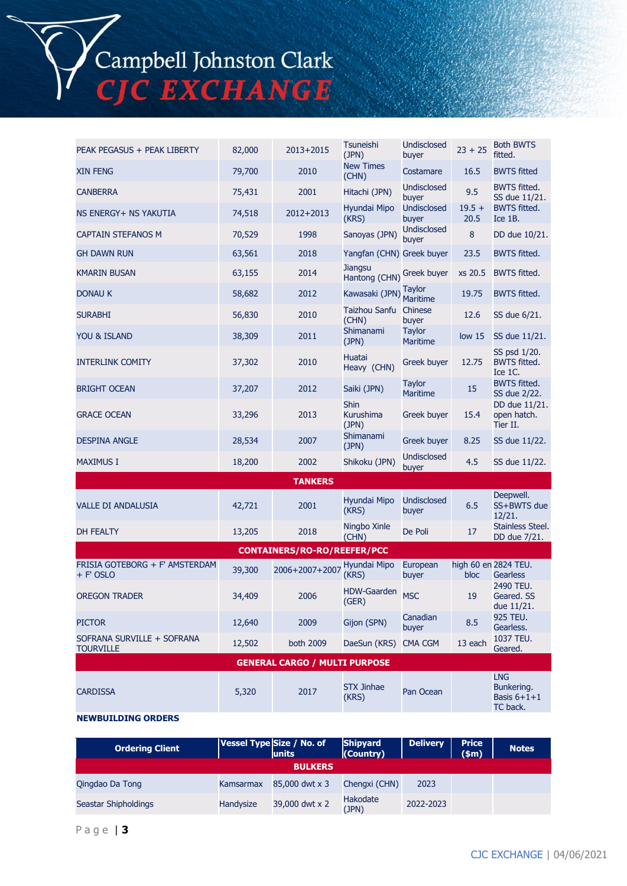# Campbell Johnston Clark<br>CJC EXCHANGE

| PEAK PEGASUS + PEAK LIBERTY                    | 82,000 | 2013+2015                            | Tsuneishi<br>(JPN)                | <b>Undisclosed</b><br>buyer      | $23 + 25$         | <b>Both BWTS</b><br>fitted.                           |
|------------------------------------------------|--------|--------------------------------------|-----------------------------------|----------------------------------|-------------------|-------------------------------------------------------|
| <b>XIN FENG</b>                                | 79,700 | 2010                                 | <b>New Times</b><br>(CHN)         | Costamare                        | 16.5              | <b>BWTS fitted</b>                                    |
| <b>CANBERRA</b>                                | 75,431 | 2001                                 | Hitachi (JPN)                     | <b>Undisclosed</b><br>buyer      | 9.5               | <b>BWTS fitted.</b><br>SS due 11/21.                  |
| NS ENERGY+ NS YAKUTIA                          | 74,518 | 2012+2013                            | Hyundai Mipo<br>(KRS)             | <b>Undisclosed</b><br>buyer      | $19.5 +$<br>20.5  | <b>BWTS fitted.</b><br>Ice 1B.                        |
| <b>CAPTAIN STEFANOS M</b>                      | 70,529 | 1998                                 | Sanoyas (JPN)                     | <b>Undisclosed</b><br>buyer      | 8                 | DD due 10/21.                                         |
| <b>GH DAWN RUN</b>                             | 63,561 | 2018                                 | Yangfan (CHN) Greek buyer         |                                  | 23.5              | <b>BWTS fitted.</b>                                   |
| <b>KMARIN BUSAN</b>                            | 63,155 | 2014                                 | <b>Jiangsu</b><br>Hantong (CHN)   | Greek buyer                      | xs 20.5           | <b>BWTS fitted.</b>                                   |
| <b>DONAU K</b>                                 | 58,682 | 2012                                 | Kawasaki (JPN)                    | <b>Taylor</b><br><b>Maritime</b> | 19.75             | <b>BWTS fitted.</b>                                   |
| <b>SURABHI</b>                                 | 56,830 | 2010                                 | Taizhou Sanfu Chinese<br>(CHN)    | buyer                            | 12.6              | SS due 6/21.                                          |
| YOU & ISLAND                                   | 38,309 | 2011                                 | Shimanami<br>(JPN)                | <b>Taylor</b><br><b>Maritime</b> | low <sub>15</sub> | SS due 11/21.                                         |
| <b>INTERLINK COMITY</b>                        | 37,302 | 2010                                 | Huatai<br>Heavy (CHN)             | Greek buyer                      | 12.75             | SS psd 1/20.<br><b>BWTS fitted.</b><br>Ice 1C.        |
| <b>BRIGHT OCEAN</b>                            | 37,207 | 2012                                 | Saiki (JPN)                       | <b>Taylor</b><br><b>Maritime</b> | 15                | <b>BWTS fitted.</b><br>SS due 2/22.                   |
| <b>GRACE OCEAN</b>                             | 33,296 | 2013                                 | <b>Shin</b><br>Kurushima<br>(JPN) | <b>Greek buyer</b>               | 15.4              | DD due 11/21.<br>open hatch.<br>Tier II.              |
| <b>DESPINA ANGLE</b>                           | 28,534 | 2007                                 | Shimanami<br>(JPN)                | <b>Greek buyer</b>               | 8.25              | SS due 11/22.                                         |
| <b>MAXIMUS I</b>                               | 18,200 | 2002                                 | Shikoku (JPN)                     | <b>Undisclosed</b><br>buyer      | 4.5               | SS due 11/22.                                         |
|                                                |        | <b>TANKERS</b>                       |                                   |                                  |                   |                                                       |
| <b>VALLE DI ANDALUSIA</b>                      | 42,721 | 2001                                 | Hyundai Mipo<br>(KRS)             | <b>Undisclosed</b><br>buyer      | 6.5               | Deepwell.<br>SS+BWTS due<br>12/21.                    |
| DH FEALTY                                      | 13,205 | 2018                                 | Ningbo Xinle<br>(CHN)             | De Poli                          | 17                | Stainless Steel.<br>DD due 7/21.                      |
|                                                |        | <b>CONTAINERS/RO-RO/REEFER/PCC</b>   |                                   |                                  |                   |                                                       |
| FRISIA GOTEBORG + F' AMSTERDAM<br>+ F' OSLO    | 39,300 | 2006+2007+2007                       | Hyundai Mipo<br>(KRS)             | European<br>buyer                | bloc              | high 60 en 2824 TEU.<br><b>Gearless</b>               |
| <b>OREGON TRADER</b>                           | 34,409 | 2006                                 | <b>HDW-Gaarden</b><br>(GER)       | <b>MSC</b>                       | 19                | 2490 TEU.<br>Geared. SS<br>due 11/21.                 |
| <b>PICTOR</b>                                  | 12,640 | 2009                                 | Gijon (SPN)                       | Canadian<br>buyer                | 8.5               | 925 TEU.<br>Gearless.                                 |
| SOFRANA SURVILLE + SOFRANA<br><b>TOURVILLE</b> | 12,502 | both 2009                            | DaeSun (KRS)                      | <b>CMA CGM</b>                   | 13 each           | 1037 TEU.<br>Geared.                                  |
|                                                |        | <b>GENERAL CARGO / MULTI PURPOSE</b> |                                   |                                  |                   |                                                       |
| <b>CARDISSA</b>                                | 5,320  | 2017                                 | <b>STX Jinhae</b><br>(KRS)        | Pan Ocean                        |                   | <b>LNG</b><br>Bunkering.<br>Basis $6+1+1$<br>TC back. |
| <b>NEWBUILDING ORDERS</b>                      |        |                                      |                                   |                                  |                   |                                                       |

#### **Ordering Client Vessel Type Size / No. of units Shipyard (Country) Delivery Price (\$m) Notes BULKERS** Qingdao Da Tong Kamsarmax 85,000 dwt x 3 Chengxi (CHN) 2023 Seastar Shipholdings Handysize 39,000 dwt x 2 Hakodate (JPN) 2022-2023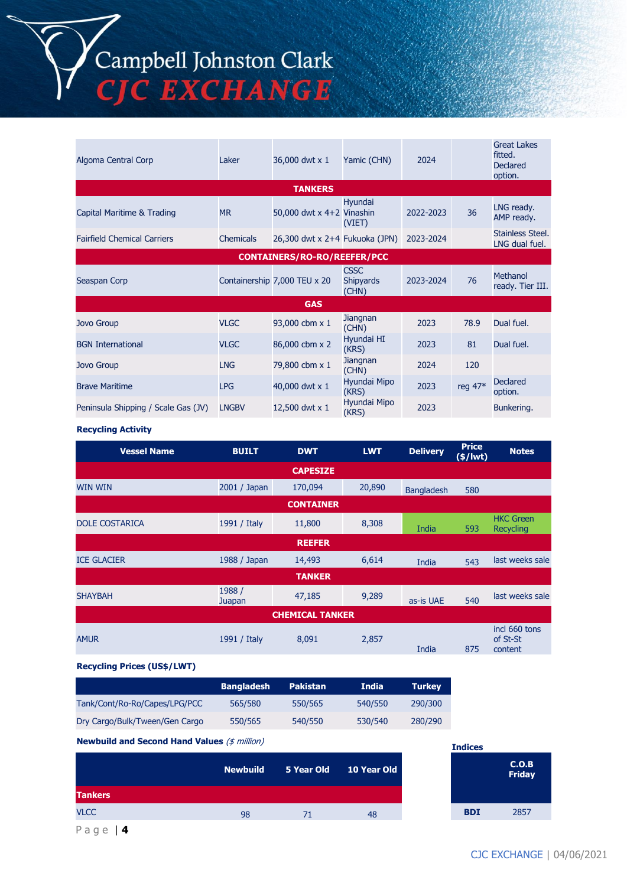# Campbell Johnston Clark<br>CJC EXCHANGE

| Algoma Central Corp                 | Laker        | 36,000 dwt x 1                     | Yamic (CHN)                              | 2024      |         | <b>Great Lakes</b><br>fitted.<br><b>Declared</b><br>option. |
|-------------------------------------|--------------|------------------------------------|------------------------------------------|-----------|---------|-------------------------------------------------------------|
|                                     |              | <b>TANKERS</b>                     |                                          |           |         |                                                             |
| Capital Maritime & Trading          | <b>MR</b>    | 50,000 dwt $x$ 4+2 Vinashin        | Hyundai<br>(VIET)                        | 2022-2023 | 36      | LNG ready.<br>AMP ready.                                    |
| <b>Fairfield Chemical Carriers</b>  | Chemicals    | 26,300 dwt x 2+4 Fukuoka (JPN)     |                                          | 2023-2024 |         | Stainless Steel.<br>LNG dual fuel.                          |
|                                     |              | <b>CONTAINERS/RO-RO/REEFER/PCC</b> |                                          |           |         |                                                             |
| Seaspan Corp                        |              | Containership 7,000 TEU x 20       | <b>CSSC</b><br><b>Shipyards</b><br>(CHN) | 2023-2024 | 76      | Methanol<br>ready. Tier III.                                |
|                                     |              | <b>GAS</b>                         |                                          |           |         |                                                             |
| <b>Jovo Group</b>                   | <b>VLGC</b>  | 93,000 cbm x 1                     | Jiangnan<br>(CHN)                        | 2023      | 78.9    | Dual fuel.                                                  |
| <b>BGN</b> International            | <b>VLGC</b>  | 86,000 cbm x 2                     | Hyundai HI<br>(KRS)                      | 2023      | 81      | Dual fuel.                                                  |
| <b>Jovo Group</b>                   | <b>LNG</b>   | 79,800 cbm x 1                     | Jiangnan<br>(CHN)                        | 2024      | 120     |                                                             |
| <b>Brave Maritime</b>               | <b>LPG</b>   | 40,000 dwt x 1                     | Hyundai Mipo<br>(KRS)                    | 2023      | reg 47* | <b>Declared</b><br>option.                                  |
| Peninsula Shipping / Scale Gas (JV) | <b>LNGBV</b> | 12,500 dwt x 1                     | Hyundai Mipo<br>(KRS)                    | 2023      |         | Bunkering.                                                  |

#### **Recycling Activity**

| <b>Vessel Name</b>    | <b>BUILT</b>     | <b>DWT</b>             | <b>LWT</b> | <b>Delivery</b>   | <b>Price</b><br>$(*)$ lwt) | <b>Notes</b>                         |
|-----------------------|------------------|------------------------|------------|-------------------|----------------------------|--------------------------------------|
|                       |                  | <b>CAPESIZE</b>        |            |                   |                            |                                      |
| <b>WIN WIN</b>        | 2001 / Japan     | 170,094                | 20,890     | <b>Bangladesh</b> | 580                        |                                      |
|                       |                  | <b>CONTAINER</b>       |            |                   |                            |                                      |
| <b>DOLE COSTARICA</b> | 1991 / Italy     | 11,800                 | 8,308      | India             | 593                        | <b>HKC Green</b><br>Recycling        |
|                       |                  | <b>REEFER</b>          |            |                   |                            |                                      |
| <b>ICE GLACIER</b>    | 1988 / Japan     | 14,493                 | 6,614      | India             | 543                        | last weeks sale                      |
|                       |                  | <b>TANKER</b>          |            |                   |                            |                                      |
| <b>SHAYBAH</b>        | 1988 /<br>Juapan | 47,185                 | 9,289      | as-is UAE         | 540                        | last weeks sale                      |
|                       |                  | <b>CHEMICAL TANKER</b> |            |                   |                            |                                      |
| <b>AMUR</b>           | 1991 / Italy     | 8,091                  | 2,857      | India             | 875                        | incl 660 tons<br>of St-St<br>content |

## **Recycling Prices (US\$/LWT)**

|                                | <b>Bangladesh</b> | <b>Pakistan</b> | <b>India</b> | <b>Turkey</b> |
|--------------------------------|-------------------|-----------------|--------------|---------------|
| Tank/Cont/Ro-Ro/Capes/LPG/PCC  | 565/580           | 550/565         | 540/550      | 290/300       |
| Dry Cargo/Bulk/Tween/Gen Cargo | 550/565           | 540/550         | 530/540      | 280/290       |

## **Newbuild and Second Hand Values** (\$ million)

|                | <b>Newbuild</b> |    | 5 Year Old 10 Year Old |            | C.O.B<br><b>Friday</b> |
|----------------|-----------------|----|------------------------|------------|------------------------|
| <b>Tankers</b> |                 |    |                        |            |                        |
| <b>VLCC</b>    | 98              | 71 | 48                     | <b>BDI</b> | 2857                   |

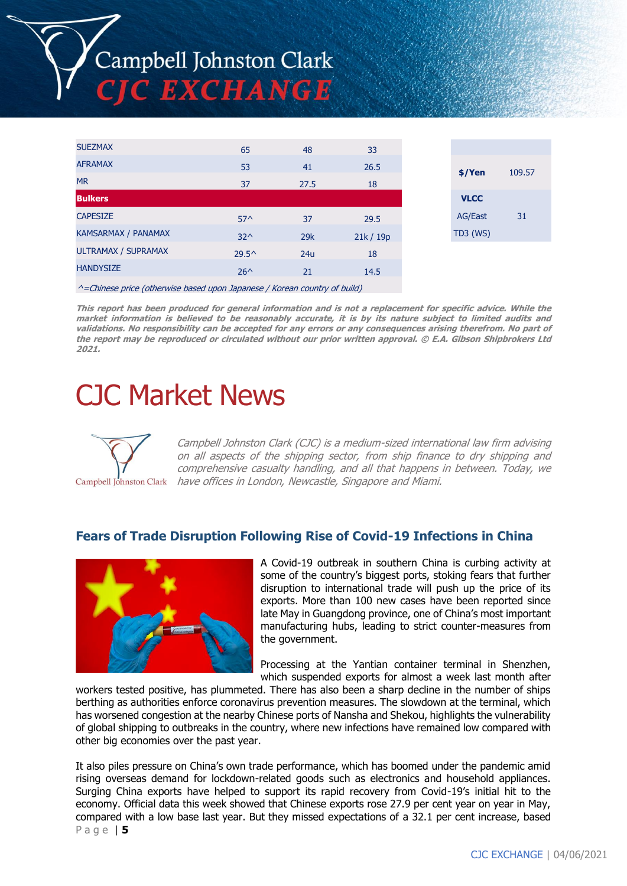# Campbell Johnston Clark **C EXCHANGE**

| <b>SUEZMAX</b>                                                                    | 65             | 48   | 33      |             |        |
|-----------------------------------------------------------------------------------|----------------|------|---------|-------------|--------|
| <b>AFRAMAX</b>                                                                    | 53             | 41   | 26.5    |             | 109.57 |
| <b>MR</b>                                                                         | 37             | 27.5 | 18      | $$$ /Yen    |        |
| <b>Bulkers</b>                                                                    |                |      |         | <b>VLCC</b> |        |
| <b>CAPESIZE</b>                                                                   | $57^{\circ}$   | 37   | 29.5    | AG/East     | 31     |
| KAMSARMAX / PANAMAX                                                               | $32^{\wedge}$  | 29k  | 21k/19p | $TD3$ (WS)  |        |
| <b>ULTRAMAX / SUPRAMAX</b>                                                        | $29.5^{\circ}$ | 24u  | 18      |             |        |
| <b>HANDYSIZE</b>                                                                  | $26^{\wedge}$  | 21   | 14.5    |             |        |
| $\land$ = Chinese price (otherwise based upon Japanese / Korean country of build) |                |      |         |             |        |

**This report has been produced for general information and is not a replacement for specific advice. While the market information is believed to be reasonably accurate, it is by its nature subject to limited audits and validations. No responsibility can be accepted for any errors or any consequences arising therefrom. No part of the report may be reproduced or circulated without our prior written approval. © E.A. Gibson Shipbrokers Ltd 2021.**

# CJC Market News



Campbell Johnston Clark (CJC) is a medium-sized international law firm advising on all aspects of the shipping sector, from ship finance to dry shipping and comprehensive casualty handling, and all that happens in between. Today, we Campbell Johnston Clark have offices in London, Newcastle, Singapore and Miami.

# **Fears of Trade Disruption Following Rise of Covid-19 Infections in China**



A Covid-19 outbreak in southern China is curbing activity at some of the country's biggest ports, stoking fears that further disruption to international trade will push up the price of its exports. More than 100 new cases have been reported since late May in Guangdong province, one of China's most important manufacturing hubs, leading to strict counter-measures from the government.

Processing at the Yantian container terminal in Shenzhen, which suspended exports for almost a week last month after

workers tested positive, has plummeted. There has also been a sharp decline in the number of ships berthing as authorities enforce coronavirus prevention measures. The slowdown at the terminal, which has worsened congestion at the nearby Chinese ports of Nansha and Shekou, highlights the vulnerability of global shipping to outbreaks in the country, where new infections have remained low compared with other big economies over the past year.

P a g e | **5** It also piles pressure on China's own trade performance, which has boomed under the pandemic amid rising overseas demand for lockdown-related goods such as electronics and household appliances. Surging China exports have helped to support its rapid recovery from Covid-19's initial hit to the economy. Official data this week showed that Chinese exports rose 27.9 per cent year on year in May, compared with a low base last year. But they missed expectations of a 32.1 per cent increase, based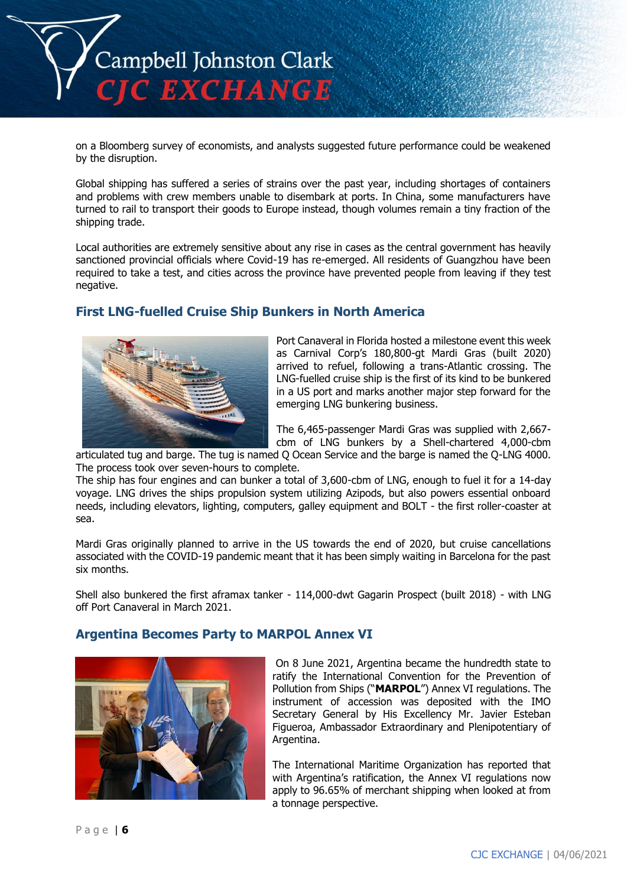

on a Bloomberg survey of economists, and analysts suggested future performance could be weakened by the disruption.

Global shipping has suffered a series of strains over the past year, including shortages of containers and problems with crew members unable to disembark at ports. In China, some manufacturers have turned to rail to transport their goods to Europe instead, though volumes remain a tiny fraction of the shipping trade.

Local authorities are extremely sensitive about any rise in cases as the central government has heavily sanctioned provincial officials where Covid-19 has re-emerged. All residents of Guangzhou have been required to take a test, and cities across the province have prevented people from leaving if they test negative.

# **First LNG-fuelled Cruise Ship Bunkers in North America**



Port Canaveral in Florida hosted a milestone event this week as Carnival Corp's 180,800-gt Mardi Gras (built 2020) arrived to refuel, following a trans-Atlantic crossing. The LNG-fuelled cruise ship is the first of its kind to be bunkered in a US port and marks another major step forward for the emerging LNG bunkering business.

The 6,465-passenger Mardi Gras was supplied with 2,667 cbm of LNG bunkers by a Shell-chartered 4,000-cbm

articulated tug and barge. The tug is named Q Ocean Service and the barge is named the Q-LNG 4000. The process took over seven-hours to complete.

The ship has four engines and can bunker a total of 3,600-cbm of LNG, enough to fuel it for a 14-day voyage. LNG drives the ships propulsion system utilizing Azipods, but also powers essential onboard needs, including elevators, lighting, computers, galley equipment and BOLT - the first roller-coaster at sea.

Mardi Gras originally planned to arrive in the US towards the end of 2020, but cruise cancellations associated with the COVID-19 pandemic meant that it has been simply waiting in Barcelona for the past six months.

Shell also bunkered the first aframax tanker - 114,000-dwt Gagarin Prospect (built 2018) - with LNG off Port Canaveral in March 2021.

# **Argentina Becomes Party to MARPOL Annex VI**



On 8 June 2021, Argentina became the hundredth state to ratify the International Convention for the Prevention of Pollution from Ships ("**MARPOL**") Annex VI regulations. The instrument of accession was deposited with the IMO Secretary General by His Excellency Mr. Javier Esteban Figueroa, Ambassador Extraordinary and Plenipotentiary of Argentina.

The International Maritime Organization has reported that with Argentina's ratification, the Annex VI regulations now apply to 96.65% of merchant shipping when looked at from a tonnage perspective.